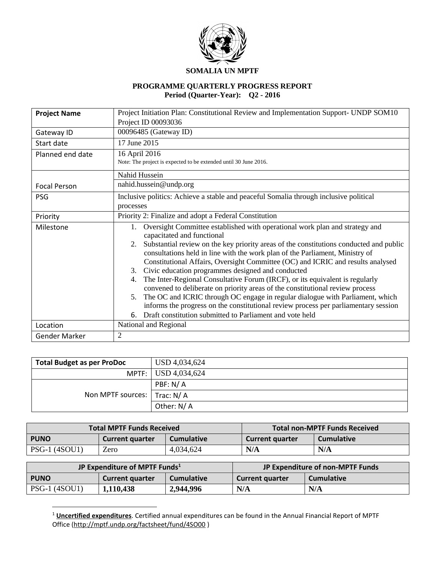

#### **SOMALIA UN MPTF**

## **PROGRAMME QUARTERLY PROGRESS REPORT Period (Quarter-Year): Q2 - 2016**

| <b>Project Name</b> | Project Initiation Plan: Constitutional Review and Implementation Support- UNDP SOM10        |  |  |  |  |  |  |
|---------------------|----------------------------------------------------------------------------------------------|--|--|--|--|--|--|
|                     | Project ID 00093036                                                                          |  |  |  |  |  |  |
| Gateway ID          | 00096485 (Gateway ID)                                                                        |  |  |  |  |  |  |
| Start date          | 17 June 2015                                                                                 |  |  |  |  |  |  |
| Planned end date    | 16 April 2016                                                                                |  |  |  |  |  |  |
|                     | Note: The project is expected to be extended until 30 June 2016.                             |  |  |  |  |  |  |
|                     | Nahid Hussein                                                                                |  |  |  |  |  |  |
| <b>Focal Person</b> | nahid.hussein@undp.org                                                                       |  |  |  |  |  |  |
| <b>PSG</b>          | Inclusive politics: Achieve a stable and peaceful Somalia through inclusive political        |  |  |  |  |  |  |
|                     | processes                                                                                    |  |  |  |  |  |  |
| Priority            | Priority 2: Finalize and adopt a Federal Constitution                                        |  |  |  |  |  |  |
| Milestone           | Oversight Committee established with operational work plan and strategy and                  |  |  |  |  |  |  |
|                     | capacitated and functional                                                                   |  |  |  |  |  |  |
|                     | Substantial review on the key priority areas of the constitutions conducted and public<br>2. |  |  |  |  |  |  |
|                     | consultations held in line with the work plan of the Parliament, Ministry of                 |  |  |  |  |  |  |
|                     | Constitutional Affairs, Oversight Committee (OC) and ICRIC and results analysed              |  |  |  |  |  |  |
|                     | Civic education programmes designed and conducted<br>3.                                      |  |  |  |  |  |  |
|                     | The Inter-Regional Consultative Forum (IRCF), or its equivalent is regularly<br>4.           |  |  |  |  |  |  |
|                     | convened to deliberate on priority areas of the constitutional review process                |  |  |  |  |  |  |
|                     | The OC and ICRIC through OC engage in regular dialogue with Parliament, which<br>5.          |  |  |  |  |  |  |
|                     | informs the progress on the constitutional review process per parliamentary session          |  |  |  |  |  |  |
|                     | 6. Draft constitution submitted to Parliament and vote held                                  |  |  |  |  |  |  |
| Location            | National and Regional                                                                        |  |  |  |  |  |  |
| Gender Marker       | $\overline{2}$                                                                               |  |  |  |  |  |  |

| <b>Total Budget as per ProDoc</b> | USD 4,034,624       |
|-----------------------------------|---------------------|
|                                   | MPTF: USD 4,034,624 |
|                                   | PBF: N/A            |
| Non MPTF sources:   Trac: N/A     |                     |
|                                   | Other: N/A          |

|                      | <b>Total MPTF Funds Received</b>            | <b>Total non-MPTF Funds Received</b> |                        |                   |
|----------------------|---------------------------------------------|--------------------------------------|------------------------|-------------------|
| <b>PUNO</b>          | <b>Cumulative</b><br><b>Current quarter</b> |                                      | <b>Current quarter</b> | <b>Cumulative</b> |
| <b>PSG-1 (4SOU1)</b> | Zero                                        | 4,034,624                            | N/A                    | N/A               |

|                      | JP Expenditure of MPTF Funds <sup>1</sup>   |           | JP Expenditure of non-MPTF Funds            |     |  |
|----------------------|---------------------------------------------|-----------|---------------------------------------------|-----|--|
| <b>PUNO</b>          | <b>Cumulative</b><br><b>Current quarter</b> |           | <b>Cumulative</b><br><b>Current quarter</b> |     |  |
| <b>PSG-1 (4SOU1)</b> | 1,110,438                                   | 2,944,996 | N/A                                         | N/A |  |

<sup>1</sup> **Uncertified expenditures**. Certified annual expenditures can be found in the Annual Financial Report of MPTF Office [\(http://mptf.undp.org/factsheet/fund/4SO00](http://mptf.undp.org/factsheet/fund/4SO00) )

 $\overline{a}$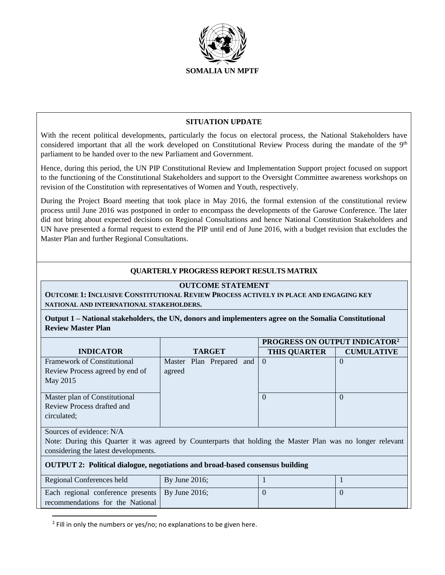

### **SITUATION UPDATE**

With the recent political developments, particularly the focus on electoral process, the National Stakeholders have considered important that all the work developed on Constitutional Review Process during the mandate of the 9<sup>th</sup> parliament to be handed over to the new Parliament and Government.

Hence, during this period, the UN PIP Constitutional Review and Implementation Support project focused on support to the functioning of the Constitutional Stakeholders and support to the Oversight Committee awareness workshops on revision of the Constitution with representatives of Women and Youth, respectively.

During the Project Board meeting that took place in May 2016, the formal extension of the constitutional review process until June 2016 was postponed in order to encompass the developments of the Garowe Conference. The later did not bring about expected decisions on Regional Consultations and hence National Constitution Stakeholders and UN have presented a formal request to extend the PIP until end of June 2016, with a budget revision that excludes the Master Plan and further Regional Consultations.

### **QUARTERLY PROGRESS REPORT RESULTS MATRIX**

#### **OUTCOME STATEMENT**

**OUTCOME 1: INCLUSIVE CONSTITUTIONAL REVIEW PROCESS ACTIVELY IN PLACE AND ENGAGING KEY NATIONAL AND INTERNATIONAL STAKEHOLDERS.**

**Output 1 – National stakeholders, the UN, donors and implementers agree on the Somalia Constitutional Review Master Plan**

|                                    |        |  |                          | PROGRESS ON OUTPUT INDICATOR <sup>2</sup> |                   |  |
|------------------------------------|--------|--|--------------------------|-------------------------------------------|-------------------|--|
| <b>INDICATOR</b>                   |        |  | <b>TARGET</b>            | <b>THIS QUARTER</b>                       | <b>CUMULATIVE</b> |  |
| <b>Framework of Constitutional</b> |        |  | Master Plan Prepared and | $\theta$                                  | $\cup$            |  |
| Review Process agreed by end of    | agreed |  |                          |                                           |                   |  |
| May 2015                           |        |  |                          |                                           |                   |  |
|                                    |        |  |                          |                                           |                   |  |
| Master plan of Constitutional      |        |  |                          | $\theta$                                  | $\theta$          |  |
| Review Process drafted and         |        |  |                          |                                           |                   |  |
| circulated;                        |        |  |                          |                                           |                   |  |
|                                    |        |  |                          |                                           |                   |  |

Sources of evidence: N/A

 $\overline{\phantom{a}}$ 

Note: During this Quarter it was agreed by Counterparts that holding the Master Plan was no longer relevant considering the latest developments.

#### **OUTPUT 2: Political dialogue, negotiations and broad-based consensus building**

| Regional Conferences held                         | By June 2016; |  |
|---------------------------------------------------|---------------|--|
| Each regional conference presents   By June 2016; |               |  |
| recommendations for the National                  |               |  |

<sup>2</sup> Fill in only the numbers or yes/no; no explanations to be given here.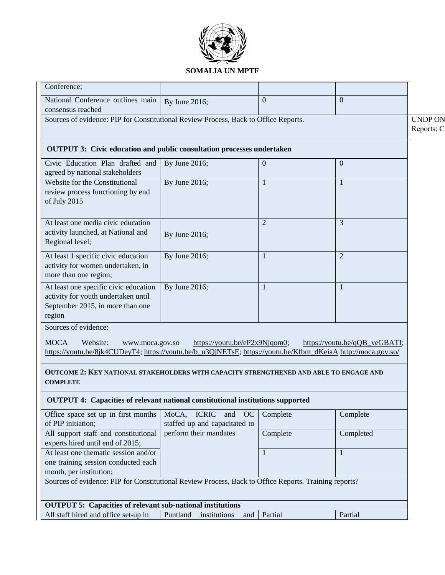

#### Conference; National Conference outlines main consensus reached By June 2016; 0 0 Sources of evidence: PIP for Constitutional Review Process, Back to Office Reports. <br>
UNDP ON Reports; C **OUTPUT 3: Civic education and public consultation processes undertaken**  Civic Education Plan drafted and agreed by national stakeholders By June 2016;  $\boxed{0}$  0 Website for the Constitutional review process functioning by end of July 2015 By June 2016;  $1 \t\t\t 1$ At least one media civic education activity launched, at National and Regional level; By June 2016; 2 3 At least 1 specific civic education activity for women undertaken, in more than one region; By June 2016;  $\boxed{1}$   $\boxed{2}$ At least one specific civic education activity for youth undertaken until September 2015, in more than one region By June 2016;  $1 \t 1 \t 1$ Sources of evidence:

MOCA Website: www.moca.gov.so [https://youtu.be/eP2x9Njqom0;](https://youtu.be/eP2x9Njqom0) [https://youtu.be/qQB\\_veGBATI;](https://youtu.be/qQB_veGBATI) [https://youtu.be/8jk4CUDeyT4;](https://youtu.be/8jk4CUDeyT4) [https://youtu.be/b\\_u3QjNETsE;](https://youtu.be/b_u3QjNETsE) [https://youtu.be/Kfbm\\_dKeiaA](https://youtu.be/Kfbm_dKeiaA) http://moca.gov.so/

## **OUTCOME 2: KEY NATIONAL STAKEHOLDERS WITH CAPACITY STRENGTHENED AND ABLE TO ENGAGE AND COMPLETE**

## **OUTPUT 4: Capacities of relevant national constitutional institutions supported**

| Office space set up in first months                                                                   | MoCA, ICRIC and OC              | Complete | Complete  |  |  |
|-------------------------------------------------------------------------------------------------------|---------------------------------|----------|-----------|--|--|
| of PIP initiation;                                                                                    | staffed up and capacitated to   |          |           |  |  |
| All support staff and constitutional                                                                  | perform their mandates          | Complete | Completed |  |  |
| experts hired until end of 2015;                                                                      |                                 |          |           |  |  |
| At least one thematic session and/or                                                                  |                                 |          |           |  |  |
| one training session conducted each                                                                   |                                 |          |           |  |  |
| month, per institution;                                                                               |                                 |          |           |  |  |
| Sources of evidence: PIP for Constitutional Review Process, Back to Office Reports. Training reports? |                                 |          |           |  |  |
|                                                                                                       |                                 |          |           |  |  |
| <b>OUTPUT 5: Capacities of relevant sub-national institutions</b>                                     |                                 |          |           |  |  |
| All staff hired and office set-up in                                                                  | Puntland<br>institutions<br>and | Partial  | Partial   |  |  |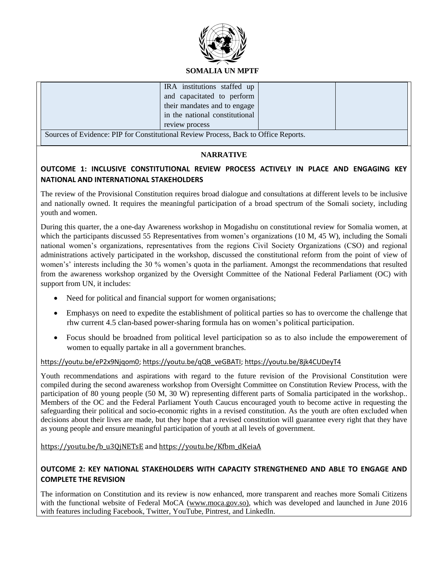

#### **SOMALIA UN MPTF**

| IRA institutions staffed up                                                        |  |  |  |  |  |
|------------------------------------------------------------------------------------|--|--|--|--|--|
| and capacitated to perform                                                         |  |  |  |  |  |
| their mandates and to engage                                                       |  |  |  |  |  |
| in the national constitutional                                                     |  |  |  |  |  |
| review process                                                                     |  |  |  |  |  |
| Sources of Evidence: DID for Constitutional Deview Process, Back to Office Departs |  |  |  |  |  |

Sources of Evidence: PIP for Constitutional Review Process, Back to Office Reports.

### **NARRATIVE**

## **OUTCOME 1: INCLUSIVE CONSTITUTIONAL REVIEW PROCESS ACTIVELY IN PLACE AND ENGAGING KEY NATIONAL AND INTERNATIONAL STAKEHOLDERS**

The review of the Provisional Constitution requires broad dialogue and consultations at different levels to be inclusive and nationally owned. It requires the meaningful participation of a broad spectrum of the Somali society, including youth and women.

During this quarter, the a one-day Awareness workshop in Mogadishu on constitutional review for Somalia women, at which the participants discussed 55 Representatives from women's organizations (10 M, 45 W), including the Somali national women's organizations, representatives from the regions Civil Society Organizations (CSO) and regional administrations actively participated in the workshop, discussed the constitutional reform from the point of view of women's' interests including the 30 % women's quota in the parliament. Amongst the recommendations that resulted from the awareness workshop organized by the Oversight Committee of the National Federal Parliament (OC) with support from UN, it includes:

- Need for political and financial support for women organisations;
- Emphasys on need to expedite the establishment of political parties so has to overcome the challenge that rhw current 4.5 clan-based power-sharing formula has on women's political participation.
- Focus should be broadned from political level participation so as to also include the empowerement of women to equally partake in all a government branches.

#### [https://youtu.be/eP2x9Njqom0;](https://youtu.be/eP2x9Njqom0) [https://youtu.be/qQB\\_veGBATI;](https://youtu.be/qQB_veGBATI)<https://youtu.be/8jk4CUDeyT4>

Youth recommendations and aspirations with regard to the future revision of the Provisional Constitution were compiled during the second awareness workshop from Oversight Committee on Constitution Review Process, with the participation of 80 young people (50 M, 30 W) representing different parts of Somalia participated in the workshop.. Members of the OC and the Federal Parliament Youth Caucus encouraged youth to become active in requesting the safeguarding their political and socio-economic rights in a revised constitution. As the youth are often excluded when decisions about their lives are made, but they hope that a revised constitution will guarantee every right that they have as young people and ensure meaningful participation of youth at all levels of government.

[https://youtu.be/b\\_u3QjNETsE](https://youtu.be/b_u3QjNETsE) and [https://youtu.be/Kfbm\\_dKeiaA](https://youtu.be/Kfbm_dKeiaA)

## **OUTCOME 2: KEY NATIONAL STAKEHOLDERS WITH CAPACITY STRENGTHENED AND ABLE TO ENGAGE AND COMPLETE THE REVISION**

The information on Constitution and its review is now enhanced, more transparent and reaches more Somali Citizens with the functional website of Federal MoCA [\(www.moca.gov.so\),](http://www.moca.gov.so)/) which was developed and launched in June 2016 with features including Facebook, Twitter, YouTube, Pintrest, and LinkedIn.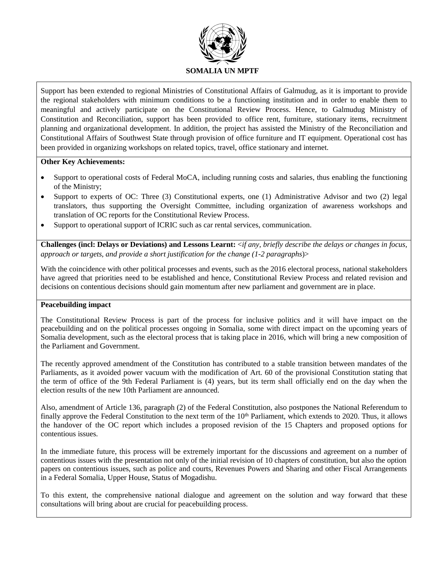

Support has been extended to regional Ministries of Constitutional Affairs of Galmudug, as it is important to provide the regional stakeholders with minimum conditions to be a functioning institution and in order to enable them to meaningful and actively participate on the Constitutional Review Process. Hence, to Galmudug Ministry of Constitution and Reconciliation, support has been provided to office rent, furniture, stationary items, recruitment planning and organizational development. In addition, the project has assisted the Ministry of the Reconciliation and Constitutional Affairs of Southwest State through provision of office furniture and IT equipment. Operational cost has been provided in organizing workshops on related topics, travel, office stationary and internet.

### **Other Key Achievements:**

- Support to operational costs of Federal MoCA, including running costs and salaries, thus enabling the functioning of the Ministry;
- Support to experts of OC: Three (3) Constitutional experts, one (1) Administrative Advisor and two (2) legal translators, thus supporting the Oversight Committee, including organization of awareness workshops and translation of OC reports for the Constitutional Review Process.
- Support to operational support of ICRIC such as car rental services, communication.

**Challenges (incl: Delays or Deviations) and Lessons Learnt:** <*if any, briefly describe the delays or changes in focus, approach or targets, and provide a short justification for the change (1-2 paragraphs*)>

With the coincidence with other political processes and events, such as the 2016 electoral process, national stakeholders have agreed that priorities need to be established and hence, Constitutional Review Process and related revision and decisions on contentious decisions should gain momentum after new parliament and government are in place.

#### **Peacebuilding impact**

The Constitutional Review Process is part of the process for inclusive politics and it will have impact on the peacebuilding and on the political processes ongoing in Somalia, some with direct impact on the upcoming years of Somalia development, such as the electoral process that is taking place in 2016, which will bring a new composition of the Parliament and Government.

The recently approved amendment of the Constitution has contributed to a stable transition between mandates of the Parliaments, as it avoided power vacuum with the modification of Art. 60 of the provisional Constitution stating that the term of office of the 9th Federal Parliament is (4) years, but its term shall officially end on the day when the election results of the new 10th Parliament are announced.

Also, amendment of Article 136, paragraph (2) of the Federal Constitution, also postpones the National Referendum to finally approve the Federal Constitution to the next term of the  $10<sup>th</sup>$  Parliament, which extends to 2020. Thus, it allows the handover of the OC report which includes a proposed revision of the 15 Chapters and proposed options for contentious issues.

In the immediate future, this process will be extremely important for the discussions and agreement on a number of contentious issues with the presentation not only of the initial revision of 10 chapters of constitution, but also the option papers on contentious issues, such as police and courts, Revenues Powers and Sharing and other Fiscal Arrangements in a Federal Somalia, Upper House, Status of Mogadishu.

To this extent, the comprehensive national dialogue and agreement on the solution and way forward that these consultations will bring about are crucial for peacebuilding process.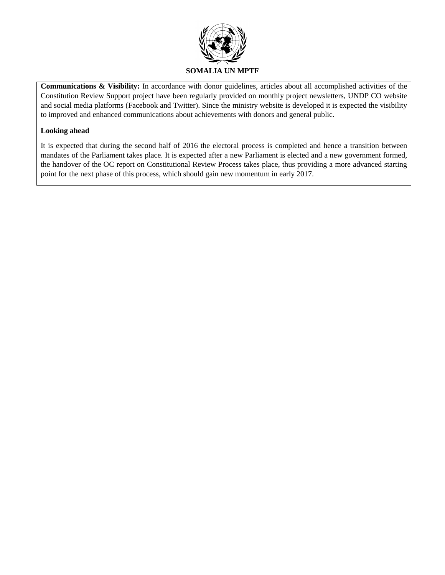

**Communications & Visibility:** In accordance with donor guidelines, articles about all accomplished activities of the Constitution Review Support project have been regularly provided on monthly project newsletters, UNDP CO website and social media platforms (Facebook and Twitter). Since the ministry website is developed it is expected the visibility to improved and enhanced communications about achievements with donors and general public.

#### **Looking ahead**

It is expected that during the second half of 2016 the electoral process is completed and hence a transition between mandates of the Parliament takes place. It is expected after a new Parliament is elected and a new government formed, the handover of the OC report on Constitutional Review Process takes place, thus providing a more advanced starting point for the next phase of this process, which should gain new momentum in early 2017.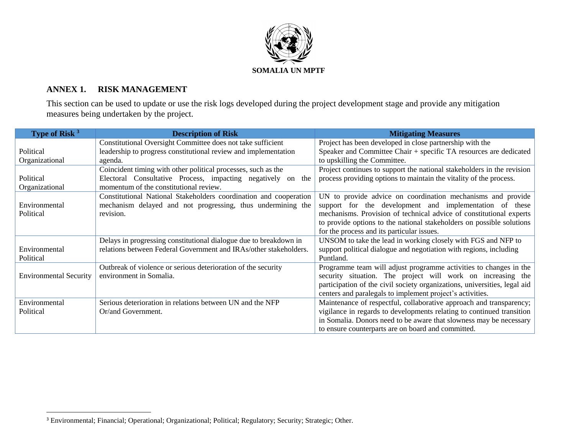

## **ANNEX 1. RISK MANAGEMENT**

 $\overline{a}$ 

This section can be used to update or use the risk logs developed during the project development stage and provide any mitigation measures being undertaken by the project.

| Type of Risk <sup>3</sup>     | <b>Description of Risk</b>                                        | <b>Mitigating Measures</b>                                                |
|-------------------------------|-------------------------------------------------------------------|---------------------------------------------------------------------------|
|                               | Constitutional Oversight Committee does not take sufficient       | Project has been developed in close partnership with the                  |
| Political                     | leadership to progress constitutional review and implementation   | Speaker and Committee Chair + specific TA resources are dedicated         |
| Organizational                | agenda.                                                           | to upskilling the Committee.                                              |
|                               | Coincident timing with other political processes, such as the     | Project continues to support the national stakeholders in the revision    |
| Political                     | Electoral Consultative Process, impacting negatively on the       | process providing options to maintain the vitality of the process.        |
| Organizational                | momentum of the constitutional review.                            |                                                                           |
|                               | Constitutional National Stakeholders coordination and cooperation | UN to provide advice on coordination mechanisms and provide               |
| Environmental                 | mechanism delayed and not progressing, thus undermining the       | support for the development and implementation of these                   |
| Political                     | revision.                                                         | mechanisms. Provision of technical advice of constitutional experts       |
|                               |                                                                   | to provide options to the national stakeholders on possible solutions     |
|                               |                                                                   | for the process and its particular issues.                                |
|                               | Delays in progressing constitutional dialogue due to breakdown in | UNSOM to take the lead in working closely with FGS and NFP to             |
| Environmental                 | relations between Federal Government and IRAs/other stakeholders. | support political dialogue and negotiation with regions, including        |
| Political                     |                                                                   | Puntland.                                                                 |
|                               | Outbreak of violence or serious deterioration of the security     | Programme team will adjust programme activities to changes in the         |
| <b>Environmental Security</b> | environment in Somalia.                                           | security situation. The project will work on increasing the               |
|                               |                                                                   | participation of the civil society organizations, universities, legal aid |
|                               |                                                                   | centers and paralegals to implement project's activities.                 |
| Environmental                 | Serious deterioration in relations between UN and the NFP         | Maintenance of respectful, collaborative approach and transparency;       |
| Political                     | Or/and Government.                                                | vigilance in regards to developments relating to continued transition     |
|                               |                                                                   | in Somalia. Donors need to be aware that slowness may be necessary        |
|                               |                                                                   | to ensure counterparts are on board and committed.                        |

<sup>&</sup>lt;sup>3</sup> Environmental; Financial; Operational; Organizational; Political; Regulatory; Security; Strategic; Other.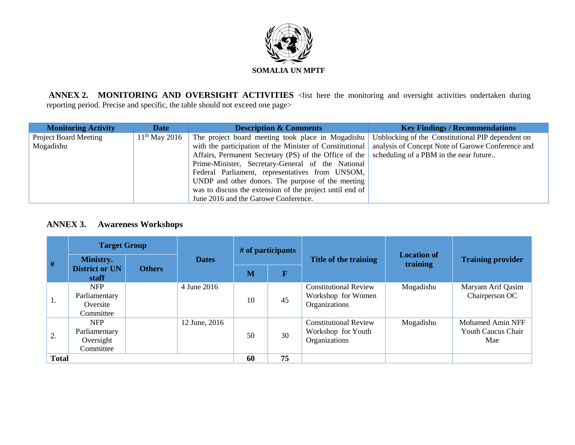

**ANNEX 2. MONITORING AND OVERSIGHT ACTIVITIES** <list here the monitoring and oversight activities undertaken during reporting period. Precise and specific, the table should not exceed one page>

| <b>Monitoring Activity</b>   | <b>Date</b>     | <b>Description &amp; Comments</b>                        | <b>Key Findings / Recommendations</b>             |
|------------------------------|-----------------|----------------------------------------------------------|---------------------------------------------------|
| <b>Project Board Meeting</b> | $11th$ May 2016 | The project board meeting took place in Mogadishu        | Unblocking of the Constitutional PIP dependent on |
| Mogadishu                    |                 | with the participation of the Minister of Constitutional | analysis of Concept Note of Garowe Conference and |
|                              |                 | Affairs, Permanent Secretary (PS) of the Office of the   | scheduling of a PBM in the near future            |
|                              |                 | Prime-Minister, Secretary-General of the National        |                                                   |
|                              |                 | Federal Parliament, representatives from UNSOM,          |                                                   |
|                              |                 | UNDP and other donors. The purpose of the meeting        |                                                   |
|                              |                 | was to discuss the extension of the project until end of |                                                   |
|                              |                 | June 2016 and the Garowe Conference.                     |                                                   |

## **ANNEX 3. Awareness Workshops**

|              | <b>Target Group</b>                                   |               |               | # of participants |                       |                                                                     | <b>Location of</b> |                                                      |
|--------------|-------------------------------------------------------|---------------|---------------|-------------------|-----------------------|---------------------------------------------------------------------|--------------------|------------------------------------------------------|
| #            | Ministry.                                             |               | <b>Dates</b>  |                   | Title of the training |                                                                     | training           | <b>Training provider</b>                             |
|              | <b>District or UN</b><br>staff                        | <b>Others</b> |               | M                 | F                     |                                                                     |                    |                                                      |
| 1.           | <b>NFP</b><br>Parliamentary<br>Oversite<br>Committee  |               | 4 June 2016   | 10                | 45                    | <b>Constitutional Review</b><br>Workshop for Women<br>Organizations | Mogadishu          | Maryam Arif Qasim<br>Chairperson OC                  |
| 2.           | <b>NFP</b><br>Parliamentary<br>Oversight<br>Committee |               | 12 June, 2016 | 50                | 30                    | <b>Constitutional Review</b><br>Workshop for Youth<br>Organizations | Mogadishu          | Mohamed Amin NFF<br><b>Youth Caucus Chair</b><br>Mae |
| <b>Total</b> |                                                       |               |               | 60                | 75                    |                                                                     |                    |                                                      |